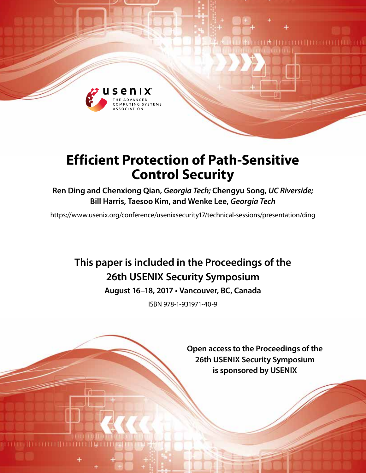

# **Efficient Protection of Path-Sensitive Control Security**

**Ren Ding and Chenxiong Qian,** *Georgia Tech;* **Chengyu Song,** *UC Riverside;*  **Bill Harris, Taesoo Kim, and Wenke Lee,** *Georgia Tech*

https://www.usenix.org/conference/usenixsecurity17/technical-sessions/presentation/ding

# **This paper is included in the Proceedings of the 26th USENIX Security Symposium**

**August 16–18, 2017 • Vancouver, BC, Canada**

ISBN 978-1-931971-40-9

**Open access to the Proceedings of the 26th USENIX Security Symposium is sponsored by USENIX**

**UNITER ELECTRICIA**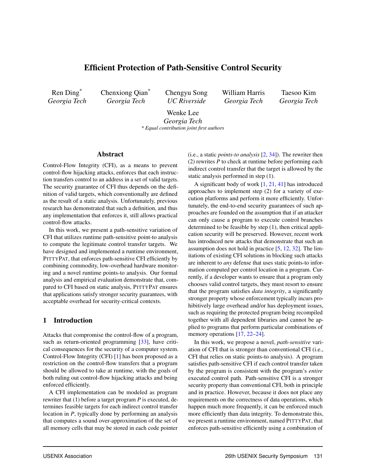# Efficient Protection of Path-Sensitive Control Security

Ren Ding\* *Georgia Tech* Chenxiong Qian\* *Georgia Tech*

Chengyu Song *UC Riverside*

William Harris *Georgia Tech*

Taesoo Kim *Georgia Tech*

Wenke Lee *Georgia Tech*

*\* Equal contribution joint first authors*

## Abstract

Control-Flow Integrity (CFI), as a means to prevent control-flow hijacking attacks, enforces that each instruction transfers control to an address in a set of valid targets. The security guarantee of CFI thus depends on the definition of valid targets, which conventionally are defined as the result of a static analysis. Unfortunately, previous research has demonstrated that such a definition, and thus any implementation that enforces it, still allows practical control-flow attacks.

In this work, we present a path-sensitive variation of CFI that utilizes runtime path-sensitive point-to analysis to compute the legitimate control transfer targets. We have designed and implemented a runtime environment, PITTYPAT, that enforces path-sensitive CFI efficiently by combining commodity, low-overhead hardware monitoring and a novel runtime points-to analysis. Our formal analysis and empirical evaluation demonstrate that, compared to CFI based on static analysis, PITTYPAT ensures that applications satisfy stronger security guarantees, with acceptable overhead for security-critical contexts.

## 1 Introduction

Attacks that compromise the control-flow of a program, such as return-oriented programming [\[33\]](#page-15-0), have critical consequences for the security of a computer system. Control-Flow Integrity (CFI) [\[1\]](#page-14-0) has been proposed as a restriction on the control-flow transfers that a program should be allowed to take at runtime, with the goals of both ruling out control-flow hijacking attacks and being enforced efficiently.

A CFI implementation can be modeled as program rewriter that (1) before a target program *P* is executed, determines feasible targets for each indirect control transfer location in *P*, typically done by performing an analysis that computes a sound over-approximation of the set of all memory cells that may be stored in each code pointer

(i.e., a static *points-to analysis* [\[2,](#page-14-1) [34\]](#page-15-1)). The rewriter then (2) rewrites *P* to check at runtime before performing each indirect control transfer that the target is allowed by the static analysis performed in step (1).

A significant body of work [\[1,](#page-14-0) [21,](#page-14-2) [41\]](#page-15-2) has introduced approaches to implement step (2) for a variety of execution platforms and perform it more efficiently. Unfortunately, the end-to-end security guarantees of such approaches are founded on the assumption that if an attacker can only cause a program to execute control branches determined to be feasible by step (1), then critical application security will be preserved. However, recent work has introduced new attacks that demonstrate that such an assumption does not hold in practice [\[5,](#page-14-3) [12,](#page-14-4) [32\]](#page-15-3). The limitations of existing CFI solutions in blocking such attacks are inherent to *any* defense that uses static points-to information computed per control location in a program. Currently, if a developer wants to ensure that a program only chooses valid control targets, they must resort to ensure that the program satisfies *data integrity*, a significantly stronger property whose enforcement typically incurs prohibitively large overhead and/or has deployment issues, such as requiring the protected program being recompiled together with all dependent libraries and cannot be applied to programs that perform particular combinations of memory operations [\[17,](#page-14-5) [22–](#page-14-6)[24\]](#page-14-7).

In this work, we propose a novel, *path-sensitive* variation of CFI that is stronger than conventional CFI (i.e., CFI that relies on static points-to analysis). A program satisfies path-sensitive CFI if each control transfer taken by the program is consistent with the program's *entire* executed control path. Path-sensitive CFI is a stronger security property than conventional CFI, both in principle and in practice. However, because it does not place any requirements on the correctness of data operations, which happen much more frequently, it can be enforced much more efficiently than data integrity. To demonstrate this, we present a runtime environment, named PITTYPAT, that enforces path-sensitive efficiently using a combination of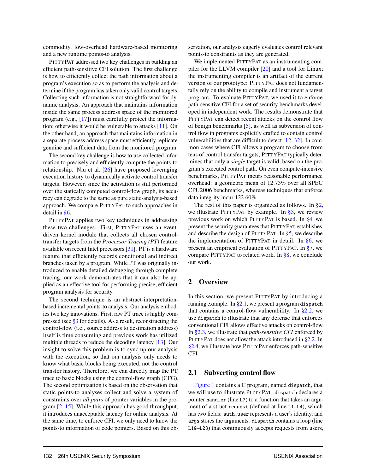commodity, low-overhead hardware-based monitoring and a new runtime points-to analysis.

PITTYPAT addressed two key challenges in building an efficient path-sensitive CFI solution. The first challenge is how to efficiently collect the path information about a program's execution so as to perform the analysis and determine if the program has taken only valid control targets. Collecting such information is not straightforward for dynamic analysis. An approach that maintains information inside the same process address space of the monitored program (e.g., [\[17\]](#page-14-5)) must carefully protect the information; otherwise it would be vulnerable to attacks [\[11\]](#page-14-8). On the other hand, an approach that maintains information in a separate process address space must efficiently replicate genuine and sufficient data from the monitored program.

The second key challenge is how to use collected information to precisely and efficiently compute the points-to relationship. Niu et al. [\[26\]](#page-14-9) have proposed leveraging execution history to dynamically activate control transfer targets. However, since the activation is still performed over the statically computed control-flow graph, its accuracy can degrade to the same as pure static-analysis-based approach. We compare PITTYPAT to such approaches in detail in [§6.](#page-8-0)

PITTYPAT applies two key techniques in addressing these two challenges. First, PITTYPAT uses an eventdriven kernel module that collects all chosen controltransfer targets from the *Processor Tracing (PT)* feature available on recent Intel processors [\[31\]](#page-14-10). PT is a hardware feature that efficiently records conditional and indirect branches taken by a program. While PT was originally introduced to enable detailed debugging through complete tracing, our work demonstrates that it can also be applied as an effective tool for performing precise, efficient program analysis for security.

The second technique is an abstract-interpretationbased incremental points-to analysis. Our analysis embodies two key innovations. First, raw PT trace is highly compressed (see [§3](#page-5-0) for details). As a result, reconstructing the control-flow (i.e., source address to destination address) itself is time consuming and previous work has utilized multiple threads to reduce the decoding latency [\[13\]](#page-14-11). Our insight to solve this problem is to sync up our analysis with the execution, so that our analysis only needs to know what basic blocks being executed, not the control transfer history. Therefore, we can directly map the PT trace to basic blocks using the control-flow graph (CFG). The second optimization is based on the observation that static points-to analyses collect and solve a system of constraints over *all pairs* of pointer variables in the program [\[2,](#page-14-1) [15\]](#page-14-12). While this approach has good throughput, it introduces unacceptable latency for online analysis. At the same time, to enforce CFI, we only need to know the points-to information of code pointers. Based on this observation, our analysis eagerly evaluates control relevant points-to constraints as they are generated.

We implemented PITTYPAT as an instrumenting compiler for the LLVM compiler [\[20\]](#page-14-13) and a tool for Linux; the instrumenting compiler is an artifact of the current version of our prototype: PITTYPAT does not fundamentally rely on the ability to compile and instrument a target program. To evaluate PITTYPAT, we used it to enforce path-sensitive CFI for a set of security benchmarks developed in independent work. The results demonstrate that PITTYPAT can detect recent attacks on the control flow of benign benchmarks [\[5\]](#page-14-3), as well as subversion of control flow in programs explicitly crafted to contain control vulnerabilities that are difficult to detect [\[12,](#page-14-4) [32\]](#page-15-3). In common cases where CFI allows a program to choose from tens of control transfer targets, PITTYPAT typically determines that only a *single* target is valid, based on the program's executed control path. On even compute-intensive benchmarks, PITTYPAT incurs reasonable performance overhead: a geometric mean of 12.73% over all SPEC CPU2006 benchmarks, whereas techniques that enforce data integrity incur 122.60%.

The rest of this paper is organized as follows. In  $\S2$ , we illustrate PITTYPAT by example. In  $\S$ 3, we review previous work on which PITTYPAT is based. In [§4,](#page-6-0) we present the security guarantees that PITTYPAT establishes, and describe the design of PITTYPAT. In [§5,](#page-8-1) we describe the implementation of PITTYPAT in detail. In  $\S6$ , we present an empirical evaluation of PITTYPAT. In [§7,](#page-12-0) we compare PITTYPAT to related work. In [§8,](#page-13-0) we conclude our work.

## <span id="page-2-0"></span>2 Overview

In this section, we present PITTYPAT by introducing a running example. In  $\S2.1$ , we present a program dispatch that contains a control-flow vulnerability. In  $\S 2.2$ , we use dispatch to illustrate that any defense that enforces conventional CFI allows effective attacks on control-flow. In [§2.3,](#page-4-0) we illustrate that *path-sensitive CFI* enforced by PITTYPAT does not allow the attack introduced in [§2.2.](#page-3-0) In [§2.4,](#page-4-1) we illustrate how PITTYPAT enforces path-sensitive CFI.

#### <span id="page-2-1"></span>2.1 Subverting control flow

[Figure 1](#page-3-1) contains a C program, named dispatch, that we will use to illustrate PITTYPAT. dispatch declares a pointer handler (line L7) to a function that takes an argument of a struct request (defined at line L1–L4), which has two fields: auth\_user represents a user's identity, and args stores the arguments. dispatch contains a loop (line L10–L23) that continuously accepts requests from users,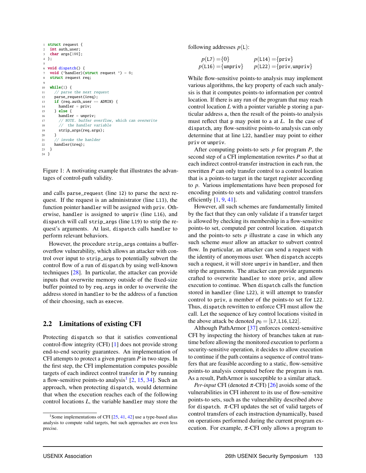```
1 struct request {
2 int auth user:
3 char args[100];
4 };
5
6 void dispatch() {
7 void (*handler)(struct request *) = 0:
   struct request req;
 9
10 while(1) {
11 // parse the next request
12 parse_request(&req);
13 if (req.auth_user == ADMIN) {
14 handler = priv;15 } else {
16 handler = unpriv;
17 // NOTE. buffer overflow, which can overwrite
18 // the handler variable
19 strip_args(req.args);
2021 // invoke the hanlder
22 handler(&req);
23 }
24 }
```
Figure 1: A motivating example that illustrates the advantages of control-path validity.

and calls parse\_request (line 12) to parse the next request. If the request is an administrator (line L13), the function pointer handler will be assigned with priv. Otherwise, handler is assigned to unpriv (line L16), and dispatch will call strip\_args (line L19) to strip the request's arguments. At last, dispatch calls handler to perform relevant behaviors.

However, the procedure strip\_args contains a bufferoverflow vulnerability, which allows an attacker with control over input to strip\_args to potentially subvert the control flow of a run of dispatch by using well-known techniques [\[28\]](#page-14-14). In particular, the attacker can provide inputs that overwrite memory outside of the fixed-size buffer pointed to by req.args in order to overwrite the address stored in handler to be the address of a function of their choosing, such as execve.

## <span id="page-3-0"></span>2.2 Limitations of existing CFI

Protecting dispatch so that it satisfies conventional control-flow integrity (CFI) [\[1\]](#page-14-0) does not provide strong end-to-end security guarantees. An implementation of CFI attempts to protect a given program *P* in two steps. In the first step, the CFI implementation computes possible targets of each indirect control transfer in *P* by running a flow-sensitive points-to analysis<sup>[1](#page-3-2)</sup> [\[2,](#page-14-1) [15,](#page-14-12) [34\]](#page-15-1). Such an approach, when protecting dispatch, would determine that when the execution reaches each of the following control locations *L*, the variable handler may store the following addresses *p*(L):

$$
p(\text{L7}) = \{0\} \qquad p(\text{L14}) = \{\text{priv}\}\newline p(\text{L16}) = \{\text{unpriv}\} \qquad p(\text{L22}) = \{\text{priv}, \text{unpriv}\}\newline
$$

While flow-sensitive points-to analysis may implement various algorithms, the key property of each such analysis is that it computes points-to information per control location. If there is any run of the program that may reach control location *L* with a pointer variable p storing a particular address a, then the result of the points-to analysis must reflect that p may point to a at *L*. In the case of dispatch, any flow-sensitive points-to analysis can only determine that at line L22, handler may point to either priv or unpriv.

After computing points-to sets *p* for program *P*, the second step of a CFI implementation rewrites *P* so that at each indirect control-transfer instruction in each run, the rewritten *P* can only transfer control to a control location that is a points-to target in the target register according to *p*. Various implementations have been proposed for encoding points-to sets and validating control transfers efficiently  $[1, 9, 41]$  $[1, 9, 41]$  $[1, 9, 41]$  $[1, 9, 41]$  $[1, 9, 41]$ .

However, all such schemes are fundamentally limited by the fact that they can only validate if a transfer target is allowed by checking its membership in a flow-sensitive points-to set, computed per control location. dispatch and the points-to sets  $p$  illustrate a case in which any such scheme *must* allow an attacker to subvert control flow. In particular, an attacker can send a request with the identity of anonymous user. When dispatch accepts such a request, it will store unpriv in handler, and then strip the arguments. The attacker can provide arguments crafted to overwrite handler to store priv, and allow execution to continue. When dispatch calls the function stored in handler (line L22), it will attempt to transfer control to priv, a member of the points-to set for L22. Thus, dispatch rewritten to enforce CFI must allow the call. Let the sequence of key control locations visited in the above attack be denoted  $p_0 =$  [L7, L16, L22].

Although PathArmor [\[37\]](#page-15-5) enforces context-sensitive CFI by inspecting the history of branches taken at runtime before allowing the monitored execution to perform a security-sensitive operation, it decides to allow execution to continue if the path contains a sequence of control transfers that are feasible according to a static, flow-sensitive points-to analysis computed before the program is run. As a result, PathArmor is susceptible to a similar attack.

*Per-input* CFI (denoted  $\pi$ -CFI) [\[26\]](#page-14-9) avoids some of the vulnerabilities in CFI inherent to its use of flow-sensitive points-to sets, such as the vulnerability described above for dispatch.  $\pi$ -CFI updates the set of valid targets of control transfers of each instruction dynamically, based on operations performed during the current program execution. For example,  $\pi$ -CFI only allows a program to

<span id="page-3-2"></span><sup>&</sup>lt;sup>1</sup> Some implementations of CFI  $[25, 41, 42]$  $[25, 41, 42]$  $[25, 41, 42]$  $[25, 41, 42]$  $[25, 41, 42]$  use a type-based alias analysis to compute valid targets, but such approaches are even less precise.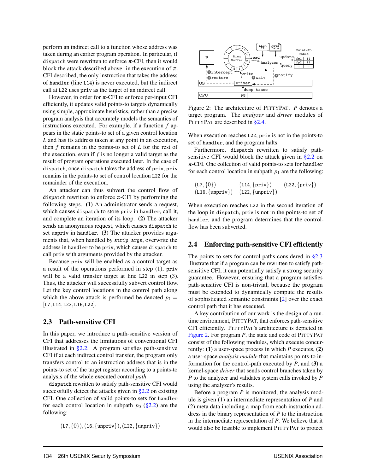perform an indirect call to a function whose address was taken during an earlier program operation. In particular, if dispatch were rewritten to enforce  $\pi$ -CFI, then it would block the attack described above: in the execution of  $\pi$ -CFI described, the only instruction that takes the address of handler (line L14) is never executed, but the indirect call at L22 uses priv as the target of an indirect call.

However, in order for  $\pi$ -CFI to enforce per-input CFI efficiently, it updates valid points-to targets dynamically using simple, approximate heuristics, rather than a precise program analysis that accurately models the semantics of instructions executed. For example, if a function *f* appears in the static points-to set of a given control location *L* and has its address taken at any point in an execution, then *f* remains in the points-to set of *L* for the rest of the execution, even if *f* is no longer a valid target as the result of program operations executed later. In the case of dispatch, once dispatch takes the address of priv, priv remains in the points-to set of control location L22 for the remainder of the execution.

An attacker can thus subvert the control flow of dispatch rewritten to enforce  $\pi$ -CFI by performing the following steps. (1) An administrator sends a request, which causes dispatch to store priv in handler, call it, and complete an iteration of its loop. (2) The attacker sends an anonymous request, which causes dispatch to set unpriv in handler. (3) The attacker provides arguments that, when handled by strip\_args, overwrite the address in handler to be priv, which causes dispatch to call priv with arguments provided by the attacker.

Because priv will be enabled as a control target as a result of the operations performed in step (1), priv will be a valid transfer target at line L22 in step (3). Thus, the attacker will successfully subvert control flow. Let the key control locations in the control path along which the above attack is performed be denoted  $p_1 =$ [L7,L14,L22,L16,L22].

## <span id="page-4-0"></span>2.3 Path-sensitive CFI

In this paper, we introduce a path-sensitive version of CFI that addresses the limitations of conventional CFI illustrated in  $\S 2.2$ . A program satisfies path-sensitive CFI if at each indirect control transfer, the program only transfers control to an instruction address that is in the points-to set of the target register according to a points-to analysis of the whole executed control *path*.

dispatch rewritten to satisfy path-sensitive CFI would successfully detect the attacks given in [§2.2](#page-3-0) on existing CFI. One collection of valid points-to sets for handler for each control location in subpath  $p_0$  [\(§2.2\)](#page-3-0) are the following:

 $(L7, \{0\}), (16, \{unpriv\}), (L22, \{unpriv\})$ 

<span id="page-4-2"></span>

Figure 2: The architecture of PITTYPAT. *P* denotes a target program. The *analyzer* and *driver* modules of PITTYPAT are described in [§2.4.](#page-4-1)

When execution reaches L22, priv is not in the points-to set of handler, and the program halts.

Furthermore, dispatch rewritten to satisfy pathsensitive CFI would block the attack given in [§2.2](#page-3-0) on  $\pi$ -CFI. One collection of valid points-to sets for handler for each control location in subpath  $p_1$  are the following:

$$
(L7, {0})
$$
 (L14, {priv}) (L22, {priv})  
(L16, {unpriv}) (L22, {unpriv})

When execution reaches L22 in the second iteration of the loop in dispatch, priv is not in the points-to set of handler, and the program determines that the controlflow has been subverted.

#### <span id="page-4-1"></span>2.4 Enforcing path-sensitive CFI efficiently

The points-to sets for control paths considered in  $\S 2.3$ illustrate that if a program can be rewritten to satisfy pathsensitive CFI, it can potentially satisfy a strong security guarantee. However, ensuring that a program satisfies path-sensitive CFI is non-trivial, because the program must be extended to dynamically compute the results of sophisticated semantic constraints [\[2\]](#page-14-1) over the exact control path that it has executed.

A key contribution of our work is the design of a runtime environment, PITTYPAT, that enforces path-sensitive CFI efficiently. PITTYPAT's architecture is depicted in [Figure 2.](#page-4-2) For program *P*, the state and code of PITTYPAT consist of the following modules, which execute concurrently: (1) a user-space process in which *P* executes, (2) a user-space *analysis module* that maintains points-to information for the control-path executed by  $P$ , and (3) a kernel-space *driver* that sends control branches taken by *P* to the analyzer and validates system calls invoked by *P* using the analyzer's results.

Before a program *P* is monitored, the analysis module is given (1) an intermediate representation of *P* and (2) meta data including a map from each instruction address in the binary representation of *P* to the instruction in the intermediate representation of *P*. We believe that it would also be feasible to implement PITTYPAT to protect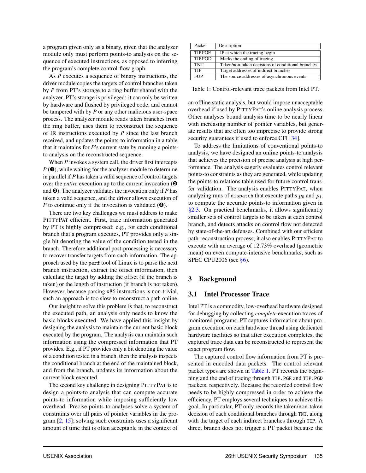a program given only as a binary, given that the analyzer module only must perform points-to analysis on the sequence of executed instructions, as opposed to inferring the program's complete control-flow graph.

As *P* executes a sequence of binary instructions, the driver module copies the targets of control branches taken by *P* from PT's storage to a ring buffer shared with the analyzer. PT's storage is privileged: it can only be written by hardware and flushed by privileged code, and cannot be tampered with by *P* or any other malicious user-space process. The analyzer module reads taken branches from the ring buffer, uses them to reconstruct the sequence of IR instructions executed by *P* since the last branch received, and updates the points-to information in a table that it maintains for *P*'s current state by running a pointsto analysis on the reconstructed sequence.

When *P* invokes a system call, the driver first intercepts *P* (➊), while waiting for the analyzer module to determine in parallel if *P* has taken a valid sequence of control targets over the *entire* execution up to the current invocation (➋ and ➌). The analyzer validates the invocation only if *P* has taken a valid sequence, and the driver allows execution of *P* to continue only if the invocation is validated ( $\bullet$ ).

There are two key challenges we must address to make PITTYPAT efficient. First, trace information generated by PT is highly compressed; e.g., for each conditional branch that a program executes, PT provides only a single bit denoting the value of the condition tested in the branch. Therefore additional post-processing is necessary to recover transfer targets from such information. The approach used by the perf tool of Linux is to parse the next branch instruction, extract the offset information, then calculate the target by adding the offset (if the branch is taken) or the length of instruction (if branch is not taken). However, because parsing x86 instructions is non-trivial, such an approach is too slow to reconstruct a path online.

Our insight to solve this problem is that, to reconstruct the executed path, an analysis only needs to know the basic blocks executed. We have applied this insight by designing the analysis to maintain the current basic block executed by the program. The analysis can maintain such information using the compressed information that PT provides. E.g., if PT provides only a bit denoting the value of a condition tested in a branch, then the analysis inspects the conditional branch at the end of the maintained block, and from the branch, updates its information about the current block executed.

The second key challenge in designing PITTYPAT is to design a points-to analysis that can compute accurate points-to information while imposing sufficiently low overhead. Precise points-to analyses solve a system of constraints over all pairs of pointer variables in the program [\[2,](#page-14-1) [15\]](#page-14-12); solving such constraints uses a significant amount of time that is often acceptable in the context of

<span id="page-5-1"></span>

| Packet     | Description                                       |
|------------|---------------------------------------------------|
| TIP.PGE    | IP at which the tracing begin                     |
| TIP.PGD    | Marks the ending of tracing                       |
| <b>TNT</b> | Taken/non-taken decisions of conditional branches |
| <b>TIP</b> | Target addresses of indirect branches             |
| <b>FUP</b> | The source addresses of asynchronous events       |

Table 1: Control-relevant trace packets from Intel PT.

an offline static analysis, but would impose unacceptable overhead if used by PITTYPAT's online analysis process. Other analyses bound analysis time to be nearly linear with increasing number of pointer variables, but generate results that are often too imprecise to provide strong security guarantees if used to enforce CFI [\[34\]](#page-15-1).

To address the limitations of conventional points-to analysis, we have designed an online points-to analysis that achieves the precision of precise analysis at high performance. The analysis eagerly evaluates control relevant points-to constraints as they are generated, while updating the points-to relations table used for future control transfer validation. The analysis enables PITTYPAT, when analyzing runs of dispatch that execute paths  $p_0$  and  $p_1$ , to compute the accurate points-to information given in [§2.3.](#page-4-0) On practical benchmarks, it allows significantly smaller sets of control targets to be taken at each control branch, and detects attacks on control flow not detected by state-of-the-art defenses. Combined with our efficient path-reconstruction process, it also enables PITTYPAT to execute with an average of 12.73% overhead (geometric mean) on even compute-intensive benchmarks, such as SPEC CPU2006 (see [§6\)](#page-8-0).

## <span id="page-5-0"></span>3 Background

#### 3.1 Intel Processor Trace

Intel PT is a commodity, low-overhead hardware designed for debugging by collecting *complete* execution traces of monitored programs. PT captures information about program execution on each hardware thread using dedicated hardware facilities so that after execution completes, the captured trace data can be reconstructed to represent the exact program flow.

The captured control flow information from PT is presented in encoded data packets. The control relevant packet types are shown in [Table 1.](#page-5-1) PT records the beginning and the end of tracing through TIP.PGE and TIP.PGD packets, respectively. Because the recorded control flow needs to be highly compressed in order to achieve the efficiency, PT employs several techniques to achieve this goal. In particular, PT only records the taken/non-taken decision of each conditional branches through TNT, along with the target of each indirect branches through TIP. A direct branch does not trigger a PT packet because the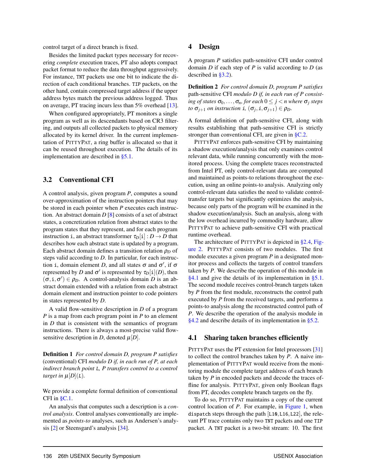control target of a direct branch is fixed.

Besides the limited packet types necessary for recovering *complete* execution traces, PT also adopts compact packet format to reduce the data throughput aggressively. For instance, TNT packets use one bit to indicate the direction of each conditional branches. TIP packets, on the other hand, contain compressed target address if the upper address bytes match the previous address logged. Thus on average, PT tracing incurs less than 5% overhead [\[13\]](#page-14-11).

When configured appropriately, PT monitors a single program as well as its descendants based on CR3 filtering, and outputs all collected packets to physical memory allocated by its kernel driver. In the current implementation of PITTYPAT, a ring buffer is allocated so that it can be reused throughout execution. The details of its implementation are described in [§5.1.](#page-8-2)

#### <span id="page-6-1"></span>3.2 Conventional CFI

A control analysis, given program *P*, computes a sound over-approximation of the instruction pointers that may be stored in each pointer when *P* executes each instruction. An abstract domain *D* [\[8\]](#page-14-17) consists of a set of abstract states, a concretization relation from abstract states to the program states that they represent, and for each program instruction i, an abstract transformer  $\tau_D[i] : D \to D$  that describes how each abstract state is updated by a program. Each abstract domain defines a transition relation  $\rho_D$  of steps valid according to *D*. In particular, for each instruction i, domain element *D*, and all states  $\sigma$  and  $\sigma'$ , if  $\sigma$ represented by *D* and  $\sigma'$  is represented by  $\tau_D[i](D)$ , then  $(\sigma, i, \sigma') \in \rho_D$ . A control-analysis domain *D* is an abstract domain extended with a relation from each abstract domain element and instruction pointer to code pointers in states represented by *D*.

A valid flow-sensitive description in *D* of a program *P* is a map from each program point in *P* to an element in *D* that is consistent with the semantics of program instructions. There is always a most-precise valid flowsensitive description in *D*, denoted  $\mu[D]$ .

Definition 1 *For control domain D, program P satisfies* (conventional) CFI *modulo D if, in each run of P, at each indirect branch point* L*, P transfers control to a control target in*  $\mu[D](L)$ *.* 

We provide a complete formal definition of conventional CFI in  $\S$ C.1.

An analysis that computes such a description is a *control analysis*. Control analyses conventionally are implemented as *points-to* analyses, such as Andersen's analysis [\[2\]](#page-14-1) or Steensgard's analysis [\[34\]](#page-15-1).

#### <span id="page-6-0"></span>4 Design

A program *P* satisfies path-sensitive CFI under control domain *D* if each step of *P* is valid according to *D* (as described in [§3.2\)](#page-6-1).

Definition 2 *For control domain D, program P satisfies* path-sensitive CFI *modulo D if, in each run of P consist-* $\log$  *ing of states*  $\sigma_0, \ldots, \sigma_n$ *, for each*  $0 \leq j \leq n$  *where*  $\sigma_j$  *steps to*  $\sigma_{j+1}$  *on instruction* i,  $(\sigma_j, i, \sigma_{j+1}) \in \rho_D$ *.* 

A formal definition of path-sensitive CFI, along with results establishing that path-sensitive CFI is strictly stronger than conventional CFI, are given in [§C.2.](#page-17-0)

PITTYPAT enforces path-sensitive CFI by maintaining a shadow execution/analysis that only examines control relevant data, while running concurrently with the monitored process. Using the complete traces reconstructed from Intel PT, only control-relevant data are computed and maintained as points-to relations throughout the execution, using an online points-to analysis. Analyzing only control-relevant data satisfies the need to validate controltransfer targets but significantly optimizes the analysis, because only parts of the program will be examined in the shadow execution/analysis. Such an analysis, along with the low overhead incurred by commodity hardware, allow PITTYPAT to achieve path-sensitive CFI with practical runtime overhead.

The architecture of PITTYPAT is depicted in [§2.4,](#page-4-1) [Fig](#page-4-2)[ure 2.](#page-4-2) PITTYPAT consists of two modules. The first module executes a given program *P* in a designated monitor process and collects the targets of control transfers taken by *P*. We describe the operation of this module in [§4.1](#page-6-2) and give the details of its implementation in [§5.1.](#page-8-2) The second module receives control-branch targets taken by *P* from the first module, reconstructs the control path executed by *P* from the received targets, and performs a points-to analysis along the reconstructed control path of *P*. We describe the operation of the analysis module in [§4.2](#page-7-0) and describe details of its implementation in [§5.2.](#page-8-3)

#### <span id="page-6-2"></span>4.1 Sharing taken branches efficiently

PITTYPAT uses the PT extension for Intel processors [\[31\]](#page-14-10) to collect the control branches taken by *P*. A naive implementation of PITTYPAT would receive from the monitoring module the complete target address of each branch taken by *P* in encoded packets and decode the traces offline for analysis. PITTYPAT, given only Boolean flags from PT, decodes complete branch targets on the fly.

To do so, PITTYPAT maintains a copy of the current control location of *P*. For example, in [Figure 1,](#page-3-1) when dispatch steps through the path [L10,L16,L22], the relevant PT trace contains only two TNT packets and one TIP packet. A TNT packet is a two-bit stream: 10. The first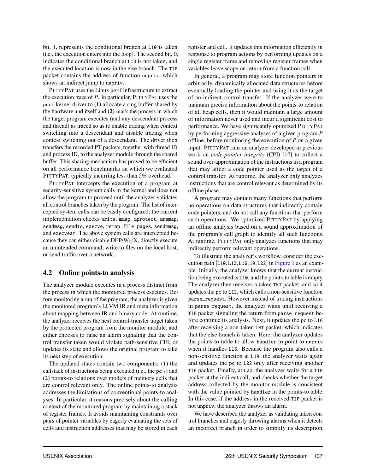bit, 1, represents the conditional branch at L10 is taken (i.e., the execution enters into the loop). The second bit, 0, indicates the conditional branch at L13 is not taken, and the executed location is now in the else branch. The TIP packet contains the address of function unpriv, which shows an indirect jump to unpriv.

PITTYPAT uses the Linux perf infrastructure to extract the execution trace of *P*. In particular, PITTYPAT uses the perf kernel driver to (1) allocate a ring buffer shared by the hardware and itself and (2) mark the process in which the target program executes (and any descendant process and thread) as traced so as to enable tracing when context switching into a descendant and disable tracing when context switching out of a descendant. The driver then transfers the recorded PT packets, together with thread ID and process ID, to the analyzer module through the shared buffer. This sharing mechanism has proved to be efficient on all performance benchmarks on which we evaluated PITTYPAT, typically incurring less than 5% overhead.

PITTYPAT intercepts the execution of a program at security-sensitive system calls in the kernel and does not allow the program to proceed until the analyzer validates all control branches taken by the program. The list of intercepted system calls can be easily configured; the current implementation checks write, mmap, mprotect, mremap, sendmsg, sendto, execve, remap\_file\_pages, sendmmsg, and execveat. The above system calls are intercepted because they can either disable DEP/W⊕X, directly execute an unintended command, write to files on the local host, or send traffic over a network.

#### <span id="page-7-0"></span>4.2 Online points-to analysis

The analyzer module executes in a process distinct from the process in which the monitored process executes. Before monitoring a run of the program, the analyzer is given the monitored program's LLVM IR and meta information about mapping between IR and binary code. At runtime, the analyzer receives the next control-transfer target taken by the protected program from the monitor module, and either chooses to raise an alarm signaling that the control transfer taken would violate path-sensitive CFI, or updates its state and allows the original program to take its next step of execution.

The updated states contain two components: (1) the callstack of instructions being executed (i.e., the pc's) and (2) points-to relations over models of memory cells that are control relevant only. The online points-to analysis addresses the limitations of conventional points-to analyses. In particular, it reasons precisely about the calling context of the monitored program by maintaining a stack of register frames. It avoids maintaining constraints over pairs of pointer variables by eagerly evaluating the sets of cells and instruction addresses that may be stored in each register and cell. It updates this information efficiently in response to program actions by performing updates on a single register frame and removing register frames when variables leave scope on return from a function call.

In general, a program may store function pointers in arbitrarily, dynamically allocated data structures before eventually loading the pointer and using it as the target of an indirect control transfer. If the analyzer were to maintain precise information about the points-to relation of all heap cells, then it would maintain a large amount of information never used and incur a significant cost to performance. We have significantly optimized PITTYPAT by performing aggressive analyses of a given program *P* offline, before monitoring the execution of *P* on a given input. PITTYPAT runs an analyzer developed in previous work on *code-pointer integrity* (CPI) [\[17\]](#page-14-5) to collect a sound over-approximation of the instructions in a program that may affect a code pointer used as the target of a control transfer. At runtime, the analyzer only analyzes instructions that are control relevant as determined by its offline phase.

A program may contain many functions that perform no operations on data structures that indirectly contain code pointers, and do not call any functions that perform such operations. We optimized PITTYPAT by applying an offline analysis based on a sound approximation of the program's call graph to identify all such functions. At runtime, PITTYPAT only analyzes functions that may indirectly perform relevant operations.

To illustrate the analyzer's workflow, consider the execution path  $[L10, L12, L16, 19, L22]$  in [Figure 1](#page-3-1) as an example. Initially, the analyzer knows that the current instruction being executed is L10, and the points-to table is empty. The analyzer then receives a taken TNT packet, and so it updates the pc to L12, which calls a non-sensitive function parse\_request. However instead of tracing instructions in parse\_request, the analyzer waits until receiving a TIP packet signaling the return from parse\_request before continue its analysis. Next, it updates the pc to L16 after receiving a non-taken TNT packet, which indicates that the else branch is taken. Here, the analyzer updates the points-to table to allow handler to point to unpriv when it handles L16. Because the program also calls a non-sensitive function at L19, the analyzer waits again and updates the pc to L22 only after receiving another TIP packet. Finally, at L22, the analyzer waits for a TIP packet at the indirect call, and checks whether the target address collected by the monitor module is consistent with the value pointed by handler in the points-to table. In this case, if the address in the received TIP packet is not unpriv, the analyzer throws an alarm.

We have described the analyzer as validating taken control branches and eagerly throwing alarms when it detects an incorrect branch in order to simplify its description.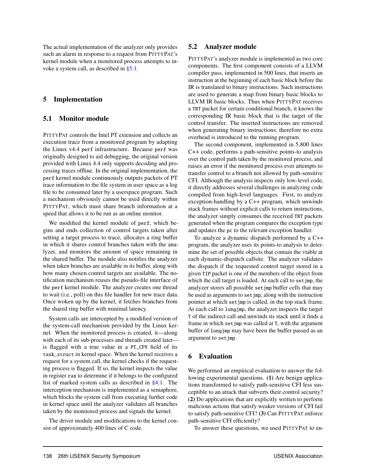The actual implementation of the analyzer only provides such an alarm in response to a request from PITTYPAT's kernel module when a monitored process attempts to invoke a system call, as described in [§5.1.](#page-8-2)

## <span id="page-8-1"></span>5 Implementation

## <span id="page-8-2"></span>5.1 Monitor module

PITTYPAT controls the Intel PT extension and collects an execution trace from a monitored program by adapting the Linux v4.4 perf infrastructure. Because perf was originally designed to aid debugging, the original version provided with Linux 4.4 only supports decoding and processing traces offline. In the original implementation, the perf kernel module continuously outputs packets of PT trace information to the file system in user space as a log file to be consumed later by a userspace program. Such a mechanism obviously cannot be used directly within PITTYPAT, which must share branch information at a speed that allows it to be run as an online monitor.

We modified the kernel module of perf, which begins and ends collection of control targets taken after setting a target process to trace, allocates a ring buffer in which it shares control branches taken with the analyzer, and monitors the amount of space remaining in the shared buffer. The module also notifies the analyzer when taken branches are available in its buffer, along with how many chosen control targets are available. The notification mechanism reuses the pseudo-file interface of the perf kernel module. The analyzer creates one thread to wait (i.e., poll) on this file handler for new trace data. Once woken up by the kernel, it fetches branches from the shared ring buffer with minimal latency.

System calls are intercepted by a modified version of the system-call mechanism provided by the Linux kernel. When the monitored process is created, it—along with each of its sub-processes and threads created later is flagged with a true value in a PT\_CPV field of its task\_struct in kernel space. When the kernel receives a request for a system call, the kernel checks if the requesting process is flagged. If so, the kernel inspects the value in register rax to determine if it belongs to the configured list of marked system calls as described in [§4.1.](#page-6-2) The interception mechanism is implemented as a semaphore, which blocks the system call from executing further code in kernel space until the analyzer validates all branches taken by the monitored process and signals the kernel.

The driver module and modifications to the kernel consist of approximately 400 lines of C code.

## <span id="page-8-3"></span>5.2 Analyzer module

PITTYPAT's analyzer module is implemented as two core components. The first component consists of a LLVM compiler pass, implemented in 500 lines, that inserts an instruction at the beginning of each basic block before the IR is translated to binary instructions. Such instructions are used to generate a map from binary basic blocks to LLVM IR basic blocks. Thus when PITTYPAT receives a TNT packet for certain conditional branch, it knows the corresponding IR basic block that is the target of the control transfer. The inserted instructions are removed when generating binary instructions; therefore no extra overhead is introduced to the running program.

The second component, implemented in 5,800 lines C++ code, performs a path-sensitive points-to analysis over the control path taken by the monitored process, and raises an error if the monitored process ever attempts to transfer control to a branch not allowed by path-sensitive CFI. Although the analysis inspects only low-level code, it directly addresses several challenges in analyzing code compiled from high-level languages. First, to analyze exception-handling by a C++ program, which unwinds stack frames without explicit calls to return instructions, the analyzer simply consumes the received TNT packets generated when the program compares the exception type and updates the pc to the relevant exception handler.

To analyze a dynamic dispatch performed by a C++ program, the analyzer uses its points-to analysis to determine the set of possible objects that contain the vtable at each dynamic-dispatch callsite. The analyzer validates the dispatch if the requested control target stored in a given TIP packet is one of the members of the object from which the call target is loaded. At each call to setjmp, the analyzer stores all possible setjmp buffer cells that may be used as arguments to setjmp, along with the instruction pointer at which setjmp is called, in the top stack frame. At each call to longjmp, the analyzer inspects the target T of the indirect call and unwinds its stack until it finds a frame in which setjmp was called at T, with the argument buffer of longjmp may have been the buffer passed as an argument to setjmp.

## <span id="page-8-0"></span>6 Evaluation

We performed an empirical evaluation to answer the following experimental questions. (1) Are benign applications transformed to satisfy path-sensitive CFI less susceptible to an attack that subverts their control security? (2) Do applications that are explicitly written to perform malicious actions that satisfy weaker versions of CFI fail to satisfy path-sensitive CFI? (3) Can PITTYPAT enforce path-sensitive CFI efficiently?

To answer these questions, we used PITTYPAT to en-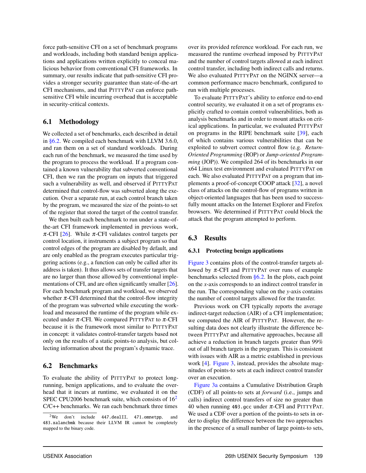force path-sensitive CFI on a set of benchmark programs and workloads, including both standard benign applications and applications written explicitly to conceal malicious behavior from conventional CFI frameworks. In summary, our results indicate that path-sensitive CFI provides a stronger security guarantee than state-of-the-art CFI mechanisms, and that PITTYPAT can enforce pathsensitive CFI while incurring overhead that is acceptable in security-critical contexts.

## 6.1 Methodology

We collected a set of benchmarks, each described in detail in [§6.2.](#page-9-0) We compiled each benchmark with LLVM 3.6.0, and ran them on a set of standard workloads. During each run of the benchmark, we measured the time used by the program to process the workload. If a program contained a known vulnerability that subverted conventional CFI, then we ran the program on inputs that triggered such a vulnerability as well, and observed if PITTYPAT determined that control-flow was subverted along the execution. Over a separate run, at each control branch taken by the program, we measured the size of the points-to set of the register that stored the target of the control transfer.

We then built each benchmark to run under a state-ofthe-art CFI framework implemented in previous work,  $\pi$ -CFI [\[26\]](#page-14-9). While  $\pi$ -CFI validates control targets per control location, it instruments a subject program so that control edges of the program are disabled by default, and are only enabled as the program executes particular triggering actions (e.g., a function can only be called after its address is taken). It thus allows sets of transfer targets that are no larger than those allowed by conventional implementations of CFI, and are often significantly smaller [\[26\]](#page-14-9). For each benchmark program and workload, we observed whether  $\pi$ -CFI determined that the control-flow integrity of the program was subverted while executing the workload and measured the runtime of the program while executed under  $\pi$ -CFI. We compared PITTYPAT to  $\pi$ -CFI because it is the framework most similar to PITTYPAT in concept: it validates control-transfer targets based not only on the results of a static points-to analysis, but collecting information about the program's dynamic trace.

#### <span id="page-9-0"></span>6.2 Benchmarks

To evaluate the ability of PITTYPAT to protect longrunning, benign applications, and to evaluate the overhead that it incurs at runtime, we evaluated it on the SPEC CPU[2](#page-9-1)006 benchmark suite, which consists of  $16<sup>2</sup>$ C/C++ benchmarks. We ran each benchmark three times

over its provided reference workload. For each run, we measured the runtime overhead imposed by PITTYPAT and the number of control targets allowed at each indirect control transfer, including both indirect calls and returns. We also evaluated PITTYPAT on the NGINX server—a common performance macro benchmark, configured to run with multiple processes.

To evaluate PITTYPAT's ability to enforce end-to-end control security, we evaluated it on a set of programs explicitly crafted to contain control vulnerabilities, both as analysis benchmarks and in order to mount attacks on critical applications. In particular, we evaluated PITTYPAT on programs in the RIPE benchmark suite [\[39\]](#page-15-6), each of which contains various vulnerabilities that can be exploited to subvert correct control flow (e.g. *Return-Oriented Programming* (ROP) or *Jump-oriented Programming* (JOP)). We compiled 264 of its benchmarks in our x64 Linux test environment and evaluated PITTYPAT on each. We also evaluated PITTYPAT on a program that implements a proof-of-concept COOP attack [\[32\]](#page-15-3), a novel class of attacks on the control-flow of programs written in object-oriented languages that has been used to successfully mount attacks on the Internet Explorer and Firefox browsers. We determined if PITTYPAT could block the attack that the program attempted to perform.

## 6.3 Results

#### 6.3.1 Protecting benign applications

[Figure 3](#page-10-0) contains plots of the control-transfer targets allowed by  $\pi$ -CFI and PITTYPAT over runs of example benchmarks selected from  $\S 6.2$ . In the plots, each point on the *x*-axis corresponds to an indirect control transfer in the run. The corresponding value on the *y*-axis contains the number of control targets allowed for the transfer.

Previous work on CFI typically reports the average indirect-target reduction (AIR) of a CFI implementation; we computed the AIR of PITTYPAT. However, the resulting data does not clearly illustrate the difference between PITTYPAT and alternative approaches, because all achieve a reduction in branch targets greater than 99% out of all branch targets in the program. This is consistent with issues with AIR as a metric established in previous work [\[4\]](#page-14-18). [Figure 3,](#page-10-0) instead, provides the absolute magnitudes of points-to sets at each indirect control transfer over an execution.

[Figure 3a](#page-10-1) contains a Cumulative Distribution Graph (CDF) of all points-to sets at *forward* (i.e., jumps and calls) indirect control transfers of size no greater than 40 when running 403.gcc under  $\pi$ -CFI and PITTYPAT. We used a CDF over a portion of the points-to sets in order to display the difference between the two approaches in the presence of a small number of large points-to sets,

<span id="page-9-1"></span><sup>2</sup>We don't include 447.dealII, 471.omnetpp, and 483.xalancbmk because their LLVM IR cannot be completely mapped to the binary code.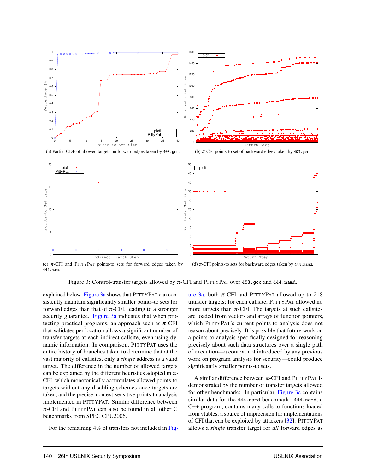<span id="page-10-1"></span><span id="page-10-0"></span>



<span id="page-10-2"></span>(a) Partial CDF of allowed targets on forward edges taken by 403.gcc.

<span id="page-10-3"></span>(b)  $\pi$ -CFI points-to set of backward edges taken by 403.gcc.



(c)  $\pi$ -CFI and PITTYPAT points-to sets for forward edges taken by 444.namd. (d)  $\pi$ -CFI points-to sets for backward edges taken by 444.namd.

Figure 3: Control-transfer targets allowed by  $\pi$ -CFI and PITTYPAT over 403.gcc and 444.namd.

explained below. [Figure 3a](#page-10-1) shows that PITTYPAT can consistently maintain significantly smaller points-to sets for forward edges than that of  $\pi$ -CFI, leading to a stronger security guarantee. [Figure 3a](#page-10-1) indicates that when protecting practical programs, an approach such as  $\pi$ -CFI that validates per location allows a significant number of transfer targets at each indirect callsite, even using dynamic information. In comparison, PITTYPAT uses the entire history of branches taken to determine that at the vast majority of callsites, only a *single* address is a valid target. The difference in the number of allowed targets can be explained by the different heuristics adopted in  $\pi$ -CFI, which monotonically accumulates allowed points-to targets without any disabling schemes once targets are taken, and the precise, context-sensitive points-to analysis implemented in PITTYPAT. Similar difference between  $\pi$ -CFI and PITTYPAT can also be found in all other C benchmarks from SPEC CPU2006.

For the remaining 4% of transfers not included in [Fig-](#page-10-1)

<span id="page-10-4"></span>[ure 3a,](#page-10-1) both  $\pi$ -CFI and PITTYPAT allowed up to 218 transfer targets; for each callsite, PITTYPAT allowed no more targets than  $\pi$ -CFI. The targets at such callsites are loaded from vectors and arrays of function pointers, which PITTYPAT's current points-to analysis does not reason about precisely. It is possible that future work on a points-to analysis specifically designed for reasoning precisely about such data structures over a single path of execution—a context not introduced by any previous work on program analysis for security—could produce significantly smaller points-to sets.

A similar difference between  $\pi$ -CFI and PITTYPAT is demonstrated by the number of transfer targets allowed for other benchmarks. In particular, [Figure 3c](#page-10-2) contains similar data for the 444.namd benchmark. 444.namd, a C++ program, contains many calls to functions loaded from vtables, a source of imprecision for implementations of CFI that can be exploited by attackers [\[32\]](#page-15-3). PITTYPAT allows a *single* transfer target for *all* forward edges as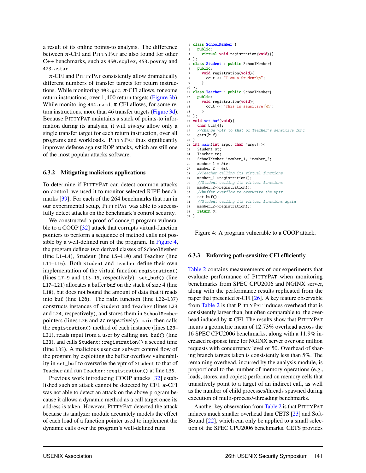a result of its online points-to analysis. The difference between  $\pi$ -CFI and PITTYPAT are also found for other C++ benchmarks, such as 450.soplex, 453.povray and 473.astar.

 $\pi$ -CFI and PITTYPAT consistently allow dramatically different numbers of transfer targets for return instructions. While monitoring 403.gcc,  $\pi$ -CFI allows, for some return instructions, over 1,400 return targets [\(Figure 3b\)](#page-10-3). While monitoring 444.namd,  $\pi$ -CFI allows, for some return instructions, more than 46 transfer targets [\(Figure 3d\)](#page-10-4). Because PITTYPAT maintains a stack of points-to information during its analysis, it will *always* allow only a single transfer target for each return instruction, over all programs and workloads. PITTYPAT thus significantly improves defense against ROP attacks, which are still one of the most popular attacks software.

#### <span id="page-11-1"></span>6.3.2 Mitigating malicious applications

To determine if PITTYPAT can detect common attacks on control, we used it to monitor selected RIPE benchmarks [\[39\]](#page-15-6). For each of the 264 benchmarks that ran in our experimental setup, PITTYPAT was able to successfully detect attacks on the benchmark's control security.

We constructed a proof-of-concept program vulnera-ble to a COOP [\[32\]](#page-15-3) attack that corrupts virtual-function pointers to perform a sequence of method calls not possible by a well-defined run of the program. In [Figure 4,](#page-11-0) the program defines two derived classes of SchoolMember (line L1–L4), Student (line L5–L10) and Teacher (line L11–L16). Both Student and Teacher define their own implementation of the virtual function registration() (lines L7–9 and L13–15, respectively). set\_buf() (line L17–L21) allocates a buffer buf on the stack of size 4 (line L18), but does not bound the amount of data that it reads into buf (line L20). The main function (line L22–L37) constructs instances of Student and Teacher (lines L23 and L24, respectively), and stores them in SchoolMember pointers (lines L26 and 27 respectively). main then calls the registration() method of each instance (lines L29– L31), reads input from a user by calling set\_buf() (line L33), and calls Student::registration() a second time (line L35). A malicious user can subvert control flow of the program by exploiting the buffer overflow vulnerability in set\_buf to overwrite the vptr of Student to that of Teacher and run Teacher::registration() at line L35.

Previous work introducing COOP attacks [\[32\]](#page-15-3) established such an attack cannot be detected by CFI.  $\pi$ -CFI was not able to detect an attack on the above program because it allows a dynamic method as a call target once its address is taken. However, PITTYPAT detected the attack because its analyzer module accurately models the effect of each load of a function pointer used to implement the dynamic calls over the program's well-defined runs.

```
1 class SchoolMember {
    public:
3 virtual void registration(void){}
4 };
5 class Student : public SchoolMember{
     public:
       7 void registration(void){
         cout << "I am a Student\n":
       9 }
10 };
11 class Teacher : public SchoolMember{
12 public:
13 void registration(void){
14 cout << "This is sensitive!\n\frac{n}{n};
1516 };
17 void set_buf(void){
18 char buf[4];
19 //change vptr to that of Teacher's sensitive func
20 gets(buf);
21 }
22 int main(int argc, char *argv[]){
23 Student st;<br>24 Teacher te;
     Teacher te:
25 SchoolMember *member_1, *member_2;
26 member<sub>-1</sub> = &te;27 member 2 = 8st;
28 //Teacher calling its virtual functions
29 member_1->registration();
30 //Student calling its virtual functions
31 member_2->registration();
32 //buffer overflow to overwrite the vptr
33 set_buf();
34 //Student calling its virtual functions again<br>35 member 2->registration():
    member_2->registration();
36 return 0;
37 }
```
Figure 4: A program vulnerable to a COOP attack.

#### 6.3.3 Enforcing path-sensitive CFI efficiently

[Table 2](#page-12-1) contains measurements of our experiments that evaluate performance of PITTYPAT when monitoring benchmarks from SPEC CPU2006 and NGINX server, along with the performance results replicated from the paper that presented  $\pi$ -CFI [\[26\]](#page-14-9). A key feature observable from [Table 2](#page-12-1) is that PITTYPAT induces overhead that is consistently larger than, but often comparable to, the overhead induced by  $\pi$ -CFI. The results show that PITTYPAT incurs a geometric mean of 12.73% overhead across the 16 SPEC CPU2006 benchmarks, along with a 11.9% increased response time for NGINX server over one million requests with concurrency level of 50. Overhead of sharing branch targets taken is consistently less than 5%. The remaining overhead, incurred by the analysis module, is proportional to the number of memory operations (e.g., loads, stores, and copies) performed on memory cells that transitively point to a target of an indirect call, as well as the number of child processes/threads spawned during execution of multi-process/-threading benchmarks.

Another key observation from [Table 2](#page-12-1) is that PITTYPAT induces much smaller overhead than CETS [\[23\]](#page-14-19) and Soft-Bound [\[22\]](#page-14-6), which can only be applied to a small selection of the SPEC CPU2006 benchmarks. CETS provides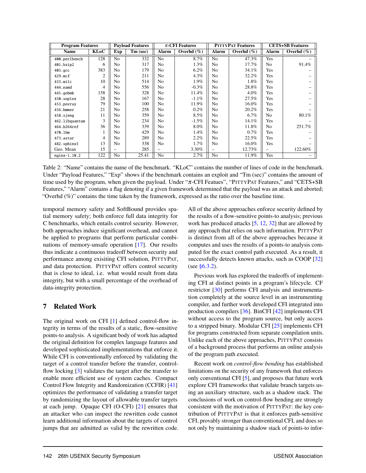<span id="page-12-1"></span>

| <b>Program Features</b> |             | <b>Payload Features</b> |          | $\pi$ -CFI Features |                | <b>PITTYPAT Features</b> |               | <b>CETS+SB Features</b>  |                |
|-------------------------|-------------|-------------------------|----------|---------------------|----------------|--------------------------|---------------|--------------------------|----------------|
| <b>Name</b>             | <b>KLoC</b> | Exp                     | Tm (sec) | <b>Alarm</b>        | Overhd $(\% )$ | Alarm                    | Overhd $(\%)$ | <b>Alarm</b>             | Overhd $(\% )$ |
| 400.perlbench           | 128         | N <sub>0</sub>          | 332      | N <sub>0</sub>      | 8.7%           | N <sub>o</sub>           | 47.3%         | Yes                      |                |
| 401.bzip2               | 6           | No                      | 317      | N <sub>0</sub>      | $1.3\%$        | N <sub>0</sub>           | 17.7%         | N <sub>0</sub>           | 91.4%          |
| $403.$ gcc              | 383         | N <sub>0</sub>          | 179      | N <sub>0</sub>      | $6.2\%$        | N <sub>0</sub>           | 34.1%         | Yes                      |                |
| $429$ .mcf              | 2           | No                      | 211      | N <sub>0</sub>      | 4.3%           | N <sub>o</sub>           | 32.2%         | Yes                      |                |
| 433.milc                | 10          | N <sub>0</sub>          | 514      | N <sub>0</sub>      | 1.9%           | N <sub>o</sub>           | 1.8%          | Yes                      |                |
| 444.namd                | 4           | N <sub>0</sub>          | 556      | N <sub>0</sub>      | $-0.3\%$       | N <sub>0</sub>           | 28.8%         | Yes                      |                |
| 445.gobmk               | 158         | No                      | 328      | N <sub>0</sub>      | 11.4%          | N <sub>0</sub>           | $4.0\%$       | Yes                      |                |
| 450.soplex              | 28          | No                      | 167      | N <sub>0</sub>      | $-1.1\%$       | N <sub>0</sub>           | 27.5%         | Yes                      |                |
| 453.povray              | 79          | N <sub>0</sub>          | 100      | N <sub>0</sub>      | 11.9%          | N <sub>0</sub>           | 16.0%         | Yes                      |                |
| 456.hmmer               | 21          | No                      | 258      | N <sub>0</sub>      | $0.2\%$        | N <sub>o</sub>           | 20.2%         | Yes                      |                |
| 458.sjeng               | 11          | No                      | 359      | N <sub>0</sub>      | $8.5\%$        | N <sub>0</sub>           | $6.7\%$       | N <sub>0</sub>           | 80.1%          |
| 462.libquantum          | 3           | No                      | 234      | N <sub>0</sub>      | $-1.5%$        | N <sub>0</sub>           | 14.1%         | Yes                      |                |
| 464.h264ref             | 36          | No                      | 339      | N <sub>0</sub>      | 8.0%           | N <sub>0</sub>           | 11.8%         | N <sub>0</sub>           | 251.7%         |
| 470.1bm                 |             | No                      | 429      | N <sub>0</sub>      | 1.4%           | N <sub>0</sub>           | $0.7\%$       | Yes                      |                |
| 473.astar               | 4           | N <sub>0</sub>          | 289      | N <sub>0</sub>      | $2.2\%$        | N <sub>o</sub>           | 22.5%         | Yes                      |                |
| 482.sphinx3             | 13          | N <sub>0</sub>          | 338      | N <sub>0</sub>      | $1.7\%$        | N <sub>0</sub>           | 16.0%         | Yes                      |                |
| Geo. Mean               | 15          |                         | 285      |                     | 3.30%          | $\overline{\phantom{0}}$ | 12.73%        | $\overline{\phantom{0}}$ | 122.60%        |
| nginx-1.10.2            | 122         | N <sub>o</sub>          | 25.41    | N <sub>o</sub>      | 2.7%           | N <sub>o</sub>           | 11.9%         | Yes                      |                |

Table 2: "Name" contains the name of the benchmark. "KLoC" contains the number of lines of code in the benchmark. Under "Payload Features," "Exp" shows if the benchmark contains an exploit and "Tm (sec)" contains the amount of time used by the program, when given the payload. Under "π-CFI Featues", "PITTYPAT Features," and "CETS+SB Features," "Alarm" contains a flag denoting if a given framework determined that the payload was an attack and aborted; "Overhd (%)" contains the time taken by the framework, expressed as the ratio over the baseline time.

temporal memory safety and SoftBound provides spatial memory safety; both enforce full data integrity for C benchmarks, which entails control security. However, both approaches induce significant overhead, and cannot be applied to programs that perform particular combinations of memory-unsafe operation [\[17\]](#page-14-5). Our results thus indicate a continuous tradeoff between security and performance among exisiting CFI solution, PITTYPAT, and data protection. PITTYPAT offers control security that is close to ideal, i.e. what would result from data integrity, but with a small percentage of the overhead of data-integrity protection.

## <span id="page-12-0"></span>7 Related Work

The original work on CFI [\[1\]](#page-14-0) defined control-flow integrity in terms of the results of a static, flow-sensitive points-to analysis. A significant body of work has adapted the original definition for complex language features and developed sophisticated implementations that enforce it. While CFI is conventionally enforced by validating the target of a control transfer before the transfer, controlflow locking [\[3\]](#page-14-20) validates the target after the transfer to enable more efficient use of system caches. Compact Control Flow Integrity and Randomization (CCFIR) [\[41\]](#page-15-2) optimizes the performance of validating a transfer target by randomizing the layout of allowable transfer targets at each jump. Opaque CFI (O-CFI) [\[21\]](#page-14-2) ensures that an attacker who can inspect the rewritten code cannot learn additional information about the targets of control jumps that are admitted as valid by the rewritten code.

All of the above approaches enforce security defined by the results of a flow-sensitive points-to analysis; previous work has produced attacks [\[5,](#page-14-3) [12,](#page-14-4) [32\]](#page-15-3) that are allowed by any approach that relies on such information. PITTYPAT is distinct from all of the above approaches because it computes and uses the results of a points-to analysis computed for the exact control path executed. As a result, it successfully detects known attacks, such as COOP [\[32\]](#page-15-3) (see [§6.3.2\)](#page-11-1).

Previous work has explored the tradeoffs of implementing CFI at distinct points in a program's lifecycle. CF restrictor [\[30\]](#page-14-21) performs CFI analysis and instrumentation completely at the source level in an instrumenting compiler, and further work developed CFI integrated into production compilers [\[36\]](#page-15-7). BinCFI [\[42\]](#page-15-4) implements CFI without access to the program source, but only access to a stripped binary. Modular CFI [\[25\]](#page-14-15) implements CFI for programs constructed from separate compilation units. Unlike each of the above approaches, PITTYPAT consists of a background process that performs an online analysis of the program path executed.

Recent work on *control-flow bending* has established limitations on the security of any framework that enforces only conventional CFI [\[5\]](#page-14-3), and proposes that future work explore CFI frameworks that validate branch targets using an auxiliary structure, such as a shadow stack. The conclusions of work on control-flow bending are strongly consistent with the motivation of PITTYPAT: the key contribution of PITTYPAT is that it enforces path-sensitive CFI, provably stronger than conventional CFI, and does so not only by maintaining a shadow stack of points-to infor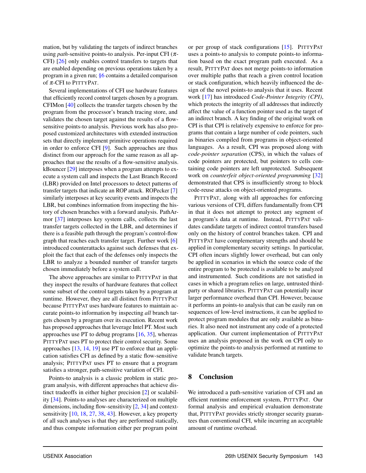mation, but by validating the targets of indirect branches using *path*-sensitive points-to analysis. Per-input CFI (π-CFI) [\[26\]](#page-14-9) only enables control transfers to targets that are enabled depending on previous operations taken by a program in a given run; [§6](#page-8-0) contains a detailed comparison of π-CFI to PITTYPAT.

Several implementations of CFI use hardware features that efficiently record control targets chosen by a program. CFIMon [\[40\]](#page-15-8) collects the transfer targets chosen by the program from the processor's branch tracing store, and validates the chosen target against the results of a flowsensitive points-to analysis. Previous work has also proposed customized architectures with extended instruction sets that directly implement primitive operations required in order to enforce CFI [\[9\]](#page-14-16). Such approaches are thus distinct from our approach for the same reason as all approaches that use the results of a flow-sensitive analysis. kBouncer [\[29\]](#page-14-22) interposes when a program attempts to execute a system call and inspects the Last Branch Record (LBR) provided on Intel processors to detect patterns of transfer targets that indicate an ROP attack. ROPecker [\[7\]](#page-14-23) similarly interposes at key security events and inspects the LBR, but combines information from inspecting the history of chosen branches with a forward analysis. PathArmor [\[37\]](#page-15-5) interposes key system calls, collects the last transfer targets collected in the LBR, and determines if there is a feasible path through the program's control-flow graph that reaches each transfer target. Further work [\[6\]](#page-14-24) introduced counterattacks against such defenses that exploit the fact that each of the defenses only inspects the LBR to analyze a bounded number of transfer targets chosen immediately before a system call.

The above approaches are similar to PITTYPAT in that they inspect the results of hardware features that collect some subset of the control targets taken by a program at runtime. However, they are all distinct from PITTYPAT because PITTYPAT uses hardware features to maintain accurate points-to information by inspecting *all* branch targets chosen by a program over its execution. Recent work has proposed approaches that leverage Intel PT. Most such approaches use PT to debug programs [\[16,](#page-14-25) [35\]](#page-15-9), whereas PITTYPAT uses PT to protect their control security. Some approaches [\[13,](#page-14-11) [14,](#page-14-26) [19\]](#page-14-27) use PT to enforce that an application satisfies CFI as defined by a static flow-sensitive analysis; PITTYPAT uses PT to ensure that a program satisfies a stronger, path-sensitive variation of CFI.

Points-to analysis is a classic problem in static program analysis, with different approaches that achieve distinct tradeoffs in either higher precision [\[2\]](#page-14-1) or scalability [\[34\]](#page-15-1). Points-to analyses are characterized on multiple dimensions, including flow-sensitivity [\[2,](#page-14-1) [34\]](#page-15-1) and contextsensitivity [\[10,](#page-14-28) [18,](#page-14-29) [27,](#page-14-30) [38,](#page-15-10) [43\]](#page-15-11). However, a key property of all such analyses is that they are performed statically, and thus compute information either per program point

or per group of stack configurations [\[15\]](#page-14-12). PITTYPAT uses a points-to analysis to compute points-to information based on the exact program path executed. As a result, PITTYPAT does not merge points-to information over multiple paths that reach a given control location or stack configuration, which heavily influenced the design of the novel points-to analysis that it uses. Recent work [\[17\]](#page-14-5) has introduced *Code-Pointer Integrity (CPI)*, which protects the integrity of all addresses that indirectly affect the value of a function pointer used as the target of an indirect branch. A key finding of the original work on CPI is that CPI is relatively expensive to enforce for programs that contain a large number of code pointers, such as binaries compiled from programs in object-oriented languages. As a result, CPI was proposed along with *code-pointer separation* (CPS), in which the values of code pointers are protected, but pointers to cells containing code pointers are left unprotected. Subsequent work on *counterfeit object-oriented programming* [\[32\]](#page-15-3) demonstrated that CPS is insufficiently strong to block code-reuse attacks on object-oriented programs.

PITTYPAT, along with all approaches for enforcing various versions of CFI, differs fundamentally from CPI in that it does not attempt to protect any segment of a program's data at runtime. Instead, PITTYPAT validates candidate targets of indirect control transfers based only on the history of control branches taken. CPI and PITTYPAT have complementary strengths and should be applied in complementary security settings. In particular, CPI often incurs slightly lower overhead, but can only be applied in scenarios in which the source code of the entire program to be protected is available to be analyzed and instrumented. Such conditions are not satisfied in cases in which a program relies on large, untrusted thirdparty or shared libraries. PITTYPAT can potentially incur larger performance overhead than CPI. However, because it performs an points-to analysis that can be easily run on sequences of low-level instructions, it can be applied to protect program modules that are only available as binaries. It also need not instrument any code of a protected application. Our current implementation of PITTYPAT uses an analysis proposed in the work on CPI only to optimize the points-to analysis performed at runtime to validate branch targets.

#### <span id="page-13-0"></span>8 Conclusion

We introduced a path-sensitive variation of CFI and an efficient runtime enforcement system, PITTYPAT. Our formal analysis and empirical evaluation demonstrate that, PITTYPAT provides strictly stronger security guarantees than conventional CFI, while incurring an acceptable amount of runtime overhead.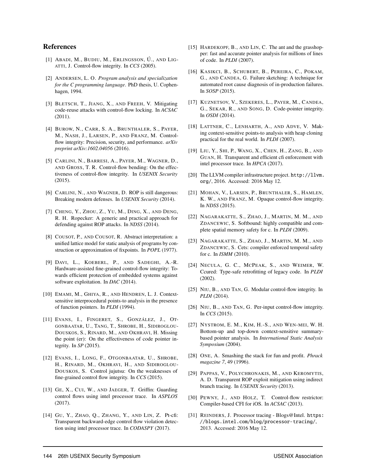#### References

- <span id="page-14-0"></span>[1] ABADI, M., BUDIU, M., ERLINGSSON, Ú., AND LIG-ATTI, J. Control-flow integrity. In *CCS* (2005).
- <span id="page-14-1"></span>[2] ANDERSEN, L. O. *Program analysis and specialization for the C programming language*. PhD thesis, U. Cophenhagen, 1994.
- <span id="page-14-20"></span>[3] BLETSCH, T., JIANG, X., AND FREEH, V. Mitigating code-reuse attacks with control-flow locking. In *ACSAC* (2011).
- <span id="page-14-18"></span>[4] BUROW, N., CARR, S. A., BRUNTHALER, S., PAYER, M., NASH, J., LARSEN, P., AND FRANZ, M. Controlflow integrity: Precision, security, and performance. *arXiv preprint arXiv:1602.04056* (2016).
- <span id="page-14-3"></span>[5] CARLINI, N., BARRESI, A., PAYER, M., WAGNER, D., AND GROSS, T. R. Control-flow bending: On the effectiveness of control-flow integrity. In *USENIX Security* (2015).
- <span id="page-14-24"></span>[6] CARLINI, N., AND WAGNER, D. ROP is still dangerous: Breaking modern defenses. In *USENIX Security* (2014).
- <span id="page-14-23"></span>[7] CHENG, Y., ZHOU, Z., YU, M., DING, X., AND DENG, R. H. Ropecker: A generic and practical approach for defending against ROP attacks. In *NDSS* (2014).
- <span id="page-14-17"></span>[8] COUSOT, P., AND COUSOT, R. Abstract interpretation: a unified lattice model for static analysis of programs by construction or approximation of fixpoints. In *POPL* (1977).
- <span id="page-14-16"></span>[9] DAVI, L., KOEBERL, P., AND SADEGHI, A.-R. Hardware-assisted fine-grained control-flow integrity: Towards efficient protection of embedded systems against software exploitation. In *DAC* (2014).
- <span id="page-14-28"></span>[10] EMAMI, M., GHIYA, R., AND HENDREN, L. J. Contextsensitive interprocedural points-to analysis in the presence of function pointers. In *PLDI* (1994).
- <span id="page-14-8"></span>[11] EVANS, I., FINGERET, S., GONZÁLEZ, J., OT-GONBAATAR, U., TANG, T., SHROBE, H., SIDIROGLOU-DOUSKOS, S., RINARD, M., AND OKHRAVI, H. Missing the point (er): On the effectiveness of code pointer integrity. In *SP* (2015).
- <span id="page-14-4"></span>[12] EVANS, I., LONG, F., OTGONBAATAR, U., SHROBE, H., RINARD, M., OKHRAVI, H., AND SIDIROGLOU-DOUSKOS, S. Control jujutsu: On the weaknesses of fine-grained control flow integrity. In *CCS* (2015).
- <span id="page-14-11"></span>[13] GE, X., CUI, W., AND JAEGER, T. Griffin: Guarding control flows using intel processor trace. In *ASPLOS* (2017).
- <span id="page-14-26"></span>[14] GU, Y., ZHAO, Q., ZHANG, Y., AND LIN, Z. Pt-cfi: Transparent backward-edge control flow violation detection using intel processor trace. In *CODASPY* (2017).
- <span id="page-14-12"></span>[15] HARDEKOPF, B., AND LIN, C. The ant and the grasshopper: fast and accurate pointer analysis for millions of lines of code. In *PLDI* (2007).
- <span id="page-14-25"></span>[16] KASIKCI, B., SCHUBERT, B., PEREIRA, C., POKAM, G., AND CANDEA, G. Failure sketching: A technique for automated root cause diagnosis of in-production failures. In *SOSP* (2015).
- <span id="page-14-5"></span>[17] KUZNETSOV, V., SZEKERES, L., PAYER, M., CANDEA, G., SEKAR, R., AND SONG, D. Code-pointer integrity. In *OSDI* (2014).
- <span id="page-14-29"></span>[18] LATTNER, C., LENHARTH, A., AND ADVE, V. Making context-sensitive points-to analysis with heap cloning practical for the real world. In *PLDI* (2007).
- <span id="page-14-27"></span>[19] LIU, Y., SHI, P., WANG, X., CHEN, H., ZANG, B., AND GUAN, H. Transparent and efficient cfi enforcement with intel processor trace. In *HPCA* (2017).
- <span id="page-14-13"></span>[20] The LLVM compiler infrastructure project. [http://llvm.](http://llvm.org/) [org/](http://llvm.org/), 2016. Accessed: 2016 May 12.
- <span id="page-14-2"></span>[21] MOHAN, V., LARSEN, P., BRUNTHALER, S., HAMLEN, K. W., AND FRANZ, M. Opaque control-flow integrity. In *NDSS* (2015).
- <span id="page-14-6"></span>[22] NAGARAKATTE, S., ZHAO, J., MARTIN, M. M., AND ZDANCEWIC, S. Softbound: highly compatible and complete spatial memory safety for c. In *PLDI* (2009).
- <span id="page-14-19"></span>[23] NAGARAKATTE, S., ZHAO, J., MARTIN, M. M., AND ZDANCEWIC, S. Cets: compiler enforced temporal safety for c. In *ISMM* (2010).
- <span id="page-14-7"></span>[24] NECULA, G. C., MCPEAK, S., AND WEIMER, W. Ccured: Type-safe retrofitting of legacy code. In *PLDI* (2002).
- <span id="page-14-15"></span>[25] NIU, B., AND TAN, G. Modular control-flow integrity. In *PLDI* (2014).
- <span id="page-14-9"></span>[26] NIU, B., AND TAN, G. Per-input control-flow integrity. In *CCS* (2015).
- <span id="page-14-30"></span>[27] NYSTROM, E. M., KIM, H.-S., AND WEN-MEI, W. H. Bottom-up and top-down context-sensitive summarybased pointer analysis. In *International Static Analysis Symposium* (2004).
- <span id="page-14-14"></span>[28] ONE, A. Smashing the stack for fun and profit. *Phrack magazine 7*, 49 (1996).
- <span id="page-14-22"></span>[29] PAPPAS, V., POLYCHRONAKIS, M., AND KEROMYTIS, A. D. Transparent ROP exploit mitigation using indirect branch tracing. In *USENIX Security* (2013).
- <span id="page-14-21"></span>[30] PEWNY, J., AND HOLZ, T. Control-flow restrictor: Compiler-based CFI for iOS. In *ACSAC* (2013).
- <span id="page-14-10"></span>[31] REINDERS, J. Processor tracing - Blogs@Intel. [https:](https://blogs.intel.com/blog/processor-tracing/) [//blogs.intel.com/blog/processor-tracing/](https://blogs.intel.com/blog/processor-tracing/), 2013. Accessed: 2016 May 12.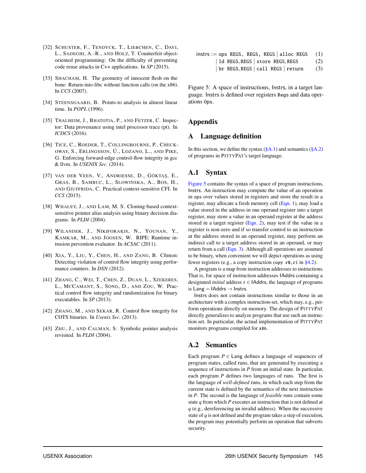- <span id="page-15-3"></span>[32] SCHUSTER, F., TENDYCK, T., LIEBCHEN, C., DAVI, L., SADEGHI, A.-R., AND HOLZ, T. Counterfeit objectoriented programming: On the difficulty of preventing code reuse attacks in C++ applications. In *SP* (2015).
- <span id="page-15-0"></span>[33] SHACHAM, H. The geometry of innocent flesh on the bone: Return-into-libc without function calls (on the x86). In *CCS* (2007).
- <span id="page-15-1"></span>[34] STEENSGAARD, B. Points-to analysis in almost linear time. In *POPL* (1996).
- <span id="page-15-9"></span>[35] THALHEIM, J., BHATOTIA, P., AND FETZER, C. Inspector: Data provenance using intel processor trace (pt). In *ICDCS* (2016).
- <span id="page-15-7"></span>[36] TICE, C., ROEDER, T., COLLINGBOURNE, P., CHECK-OWAY, S., ERLINGSSON, Ú., LOZANO, L., AND PIKE, G. Enforcing forward-edge control-flow integrity in gcc & llvm. In *USENIX Sec.* (2014).
- <span id="page-15-5"></span>[37] VAN DER VEEN, V., ANDRIESSE, D., GÖKTAŞ, E., GRAS, B., SAMBUC, L., SLOWINSKA, A., BOS, H., AND GIUFFRIDA, C. Practical context-sensitive CFI. In *CCS* (2015).
- <span id="page-15-10"></span>[38] WHALEY, J., AND LAM, M. S. Cloning-based contextsensitive pointer alias analysis using binary decision diagrams. In *PLDI* (2004).
- <span id="page-15-6"></span>[39] WILANDER, J., NIKIFORAKIS, N., YOUNAN, Y., KAMKAR, M., AND JOOSEN, W. RIPE: Runtime intrusion prevention evaluator. In *ACSAC* (2011).
- <span id="page-15-8"></span>[40] XIA, Y., LIU, Y., CHEN, H., AND ZANG, B. Cfimon: Detecting violation of control flow integrity using performance counters. In *DSN* (2012).
- <span id="page-15-2"></span>[41] ZHANG, C., WEI, T., CHEN, Z., DUAN, L., SZEKERES, L., MCCAMANT, S., SONG, D., AND ZOU, W. Practical control flow integrity and randomization for binary executables. In *SP* (2013).
- <span id="page-15-4"></span>[42] ZHANG, M., AND SEKAR, R. Control flow integrity for COTS binaries. In *Usenix Sec.* (2013).
- <span id="page-15-11"></span>[43] ZHU, J., AND CALMAN, S. Symbolic pointer analysis revisited. In *PLDI* (2004).

```
instrs := ops \t\t\t REGS, \t\t\t REGS \t\t\t (1)ld REGS, REGS | store REGS, REGS (2)
        br REGS, REGS | call REGS | return (3)
```
Figure 5: A space of instructions, Instrs, in a target language. Instrs is defined over registers Regs and data operations Ops.

### Appendix

#### A Language definition

In this section, we define the syntax  $(\S A.1)$  and semantics  $(\S A.2)$ of programs in PITTYPAT's target language.

### <span id="page-15-12"></span>A.1 Syntax

[Figure 5](#page-15-14) contains the syntax of a space of program instructions, Instrs. An instruction may compute the value of an operation in ops over values stored in registers and store the result in a register, may allocate a fresh memory cell [\(Eqn. 1\)](#page-15-15), may load a value stored in the address in one operand register into a target register, may store a value in an operand register at the address stored in a target register [\(Eqn. 2\)](#page-15-16), may test if the value in a register is non-zero and if so transfer control to an instruction at the address stored in an operand register, may perform an indirect call to a target address stored in an operand, or may return from a call [\(Eqn. 3\)](#page-15-17). Although all operations are assumed to be binary, when convenient we will depict operations as using fewer registers (e.g., a copy instruction copy  $r0, r1$  in [§4.2\)](#page-7-0).

A program is a map from instruction addresses to instructions. That is, for space of instruction addresses IAddrs containing a designated *initial* address  $\iota \in$  IAddrs, the language of programs is Lang =  $IAddrs \rightarrow Instrs$ .

Instrs does not contain instructions similar to those in an architecture with a complex instruction-set, which may, e.g., perform operations directly on memory. The design of PITTYPAT directly generalizes to analyze programs that use such an instruction set. In particular, the actual implementation of PITTYPAT monitors programs compiled for x86.

## <span id="page-15-13"></span>A.2 Semantics

Each program  $P \in$  Lang defines a language of sequences of program states, called runs, that are generated by executing a sequence of instructions in *P* from an initial state. In particular, each program *P* defines two languages of runs. The first is the language of *well-defined* runs, in which each step from the current state is defined by the semantics of the next instruction in *P*. The second is the language of *feasible* runs contain some state *q* from which *P* executes an instruction that is not defined at *q* (e.g., dereferencing an invalid address). When the successive state of *q* is not defined and the program takes a step of execution, the program may potentially perform an operation that subverts security.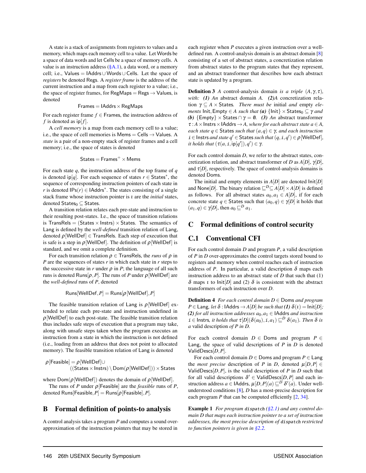A state is a stack of assignments from registers to values and a memory, which maps each memory cell to a value. Let Words be a space of data words and let Cells be a space of memory cells. A value is an instruction address  $(\S{A.1})$ , a data word, or a memory cell; i.e., Values =  $IAddrs \cup Words \cup Cells$ . Let the space of *registers* be denoted Regs. A *register frame* is the address of the current instruction and a map from each register to a value; i.e., the space of register frames, for RegMaps  $=$  Regs  $\rightarrow$  Values, is denoted

$$
Frames = IAddress \times RegMaps
$$

For each register frame *f* ∈ Frames, the instruction address of *f* is denoted as  $ip[f]$ .

A *cell memory* is a map from each memory cell to a value; i.e., the space of cell memories is Mems = Cells  $\rightarrow$  Values. A *state* is a pair of a non-empty stack of register frames and a cell memory; i.e., the space of states is denoted

$$
\mathsf{States} = \mathsf{Frames}^+ \times \mathsf{Mems}
$$

For each state *q*, the instruction address of the top frame of *q* is denoted ip[q]. For each sequence of states  $r \in$  States<sup>\*</sup>, the sequence of corresponding instruction pointers of each state in *r* is denoted  $IPS(r) \in \text{IAddress}^*$ . The states consisting of a single stack frame whose instruction pointer is ι are the *initial* states, denoted  $States_0 \subseteq States$ .

A transition relation relates each pre-state and instruction to their resulting post-states. I.e., the space of transition relations is TransRels =  $(States \times Int) \times States$ . The semantics of Lang is defined by the *well-defined* transition relation of Lang, denoted  $\rho$ [WellDef]  $\in$  TransRels. Each step of execution that is safe is a step in  $\rho$ [WellDef]. The definition of  $\rho$ [WellDef] is standard, and we omit a complete definition.

For each transition relation  $\rho \in$  TransRels, the *runs* of  $\rho$  in *P* are the sequences of states *r* in which each state in *r* steps to the successive state in  $r$  under  $\rho$  in  $P$ ; the language of all such runs is denoted Runs $[\rho, P]$ . The runs of *P* under  $\rho$  [WellDef] are the *well-defined* runs of *P*, denoted

$$
\mathsf{Runs}[\mathsf{WellDef},P]=\mathsf{Runs}[\rho[\mathsf{WellDef}],P]
$$

The feasible transition relation of Lang is  $\rho$ [WellDef] extended to relate each pre-state and instruction undefined in  $\rho$ [WellDef] to each post-state. The feasible transition relation thus includes safe steps of execution that a program may take, along with unsafe steps taken when the program executes an instruction from a state in which the instruction is not defined (i.e., loading from an address that does not point to allocated memory). The feasible transition relation of Lang is denoted

$$
\rho[\mathsf{Feasible}] = \rho[\mathsf{WellDef}] \cup ((\mathsf{States} \times \mathsf{Instrs}) \setminus \mathsf{Dom}(\rho[\mathsf{WellDef}])) \times \mathsf{States}
$$

where  $Dom(\rho[WellDef])$  denotes the domain of  $\rho[WellDef]$ .

The runs of *P* under  $\rho$  [Feasible] are the *feasible* runs of *P*, denoted Runs[Feasible,  $P$ ] = Runs[ $\rho$ [Feasible],  $P$ ].

#### B Formal definition of points-to analysis

A control analysis takes a program *P* and computes a sound overapproximation of the instruction pointers that may be stored in

each register when *P* executes a given instruction over a welldefined run. A control-analysis domain is an abstract domain [\[8\]](#page-14-17) consisting of a set of abstract states, a concretization relation from abstract states to the program states that they represent, and an abstract transformer that describes how each abstract state is updated by a program.

<span id="page-16-1"></span>**Definition 3** *A* control-analysis domain *is a triple*  $(A, \gamma, \tau)$ *, with: (1) An* abstract domain *A. (2)A* concretization relation γ ⊆ *A* × States*. There must be* initial *and* empty *elements* Init, Empty  $\in$  *A such that* (a)  $\{ \text{Init} \} \times \text{States}_0 \subseteq \gamma$  *and (b)*  $\{Empty\} \times States \cap \gamma = \emptyset$ *. (3) An* abstract transformer  $\tau : A \times$ **Instrs**  $\times$  **IAddrs**  $\rightarrow$  *A, where for each abstract state*  $a \in A$ *, each state q* ∈ States *such that*  $(a,q)$  ∈  $γ$ *, and each instruction*  $i \in$  Instrs *and state*  $q' \in$  States *such that*  $(q, i, q') \in \rho$  [WellDef], *it holds that*  $(\tau(a, i, \mathsf{ip}[q')), q') \in \gamma$ .

For each control domain *D*, we refer to the abstract states, concretization relation, and abstract transformer of *D* as  $A[D]$ ,  $γ[D]$ , and  $\tau[D]$ , respectively. The space of control-analysis domains is denoted Doms.

The initial and empty elements in  $A[D]$  are denoted  $Init[D]$ and None[*D*]. The binary relation  $\sqsubseteq^D \subseteq A[D] \times A[D]$  is defined as follows. For all abstract states  $a_0, a_1 \in A[D]$ , if for each concrete state  $q \in$  States such that  $(a_0, q) \in \gamma[D]$  it holds that  $(a_1, q) \in \gamma[D]$ , then  $a_0 \sqsubset^D a_1$ .

## C Formal definitions of control security

## <span id="page-16-0"></span>C.1 Conventional CFI

For each control domain *D* and program *P*, a valid description of *P* in *D* over-approximates the control targets stored bound to registers and memory when control reaches each of instruction address of *P*. In particular, a valid description  $\delta$  maps each instruction address to an abstract state of  $D$  that such that  $(1)$ δ maps *ι* to lnit[*D*] and (2) δ is consistent with the abstract transformers of each instruction over *D*.

Definition 4 *For each control domain D* ∈ Doms *and program*  $P \in$  Lang*, let*  $\delta$  : IAddrs  $\rightarrow$  *A*[*D*] *be such that* (1)  $\delta(t) =$  Init[*D*]*; (2) for all instruction addresses*  $a_0$ ,  $a_1$  ∈ **IAddrs** *and instruction*  $i \in$  Instrs, *it holds that*  $\tau[D](\delta(a_0), i, a_1) \sqsubseteq^D \delta(a_1)$ *. Then*  $\delta$  *is a* valid description *of P in D.*

For each control domain  $D \in$  Doms and program  $P \in$ Lang, the space of valid descriptions of *P* in *D* is denoted ValidDescs[*D*,*P*].

For each control domain  $D \in$  Doms and program  $P \in$  Lang the *most precise* description of *P* in *D*, denoted  $\mu[D, P] \in$ ValidDescs $[D, P]$ , is the valid description of *P* in *D* such that for all valid descriptions  $\delta' \in \text{ValidDescs}[D, P]$  and each instruction address  $a \in$  IAddrs,  $\mu[D, P](a) \sqsubseteq^D \delta'(a)$ . Under wellunderstood conditions [\[8\]](#page-14-17), *D* has a most-precise description for each program *P* that can be computed efficiently [\[2,](#page-14-1) [34\]](#page-15-1).

Example 1 *For program* dispatch *[\(§2.1\)](#page-2-1) and any control domain D that maps each instruction pointer to a set of instruction addresses, the most precise description of* dispatch *restricted to function pointers is given in [§2.2.](#page-3-0)*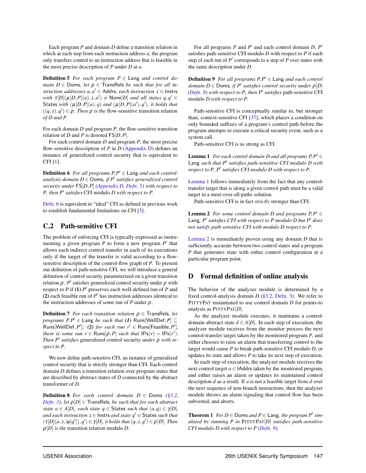Each program *P* and domain *D* define a transition relation in which at each step from each instruction address *a*, the program only transfers control to an instruction address that is feasible in the most precise description of *P* under *D* at *a*.

**Definition 5** For each program  $P \in$  Lang and control do*main*  $D \in$  Doms, let  $\rho \in$  TransRels *be such that for all instruction addresses*  $a, a' \in$  Addrs, *each instruction*  $i \in$  Instrs *with*  $\tau[D](\mu[D, P](a), i, a') \neq \text{None}[D]$  *and all states*  $q, q' \in$ States with  $(\mu[D, P](a), q)$  and  $(\mu[D, P](a'), q')$ , it holds that  $((q, i), q') \in \rho$ . Then  $\rho$  *is the* flow-sensitive transition relation *of D and P.*

For each domain *D* and program *P*, the flow-sensitive transition relation of *D* and *P* is denoted FS[*D*,*P*].

For each control domain *D* and program *P*, the most precise flow-sensitive description of *P* in *D* [\(Appendix D\)](#page-17-1) defines an instance of generalized control security that is equivalent to CFI [\[1\]](#page-14-0).

<span id="page-17-3"></span>Definition 6 *For all programs*  $P, P' \in$  Lang *and each controlanalysis domain D* ∈ Doms*, if P* ′ *satisfies generalized control security under* FS[*D*,*P*] *[\(Appendix D,](#page-17-1) [Defn. 5\)](#page-17-2) with respect to P, then P*′ *satisfies* CFI modulo *D with respect to P.*

[Defn. 6](#page-17-3) is equivalent to "ideal" CFI as defined in previous work to establish fundamental limitations on CFI [\[5\]](#page-14-3).

## <span id="page-17-0"></span>C.2 Path-sensitive CFI

The problem of enforcing CFI is typically expressed as instrumenting a given program  $P$  to form a new program  $P'$  that allows each indirect control transfer in each of its executions only if the target of the transfer is valid according to a flowsensitive description of the control-flow graph of *P*. To present our definition of path-sensitive CFI, we will introduce a general definition of control security parameterized on a given transition relation  $\rho$ . *P'* satisfies generalized control security under  $\rho$  with respect to *P* if (1) *P* ′ preserves each well-defined run of *P* and (2) each feasible run of  $P'$  has instruction addresses identical to the instruction addresses of some run of *P* under  $\rho$ .

Definition 7 *For each transition relation* ρ ∈ TransRels*, let*  $p$ *rograms*  $P, P' \in$  Lang *be such that (1)* Runs[WellDef, $P$ ]  $\subseteq$  $\text{Runs}[\text{WellDef}, P']$ ; (2) *for each run*  $r' \in \text{Runs}[\text{Feasible}, P'],$ *there is some run*  $r \in \text{Runs}[\rho, P]$  *such that*  $\text{IPs}(r) = \text{IPs}(r')$ *. Then P* ′ *satisfies* generalized control security *under* ρ *with respect to P.*

We now define path-sensitive CFI, an instance of generalized control security that is strictly stronger than CFI. Each control domain *D* defines a transition relation over program states that are described by abstract states of *D* connected by the abstract transformer of *D*.

<span id="page-17-4"></span>Definition 8 *For each control domain D* ∈ Doms *[\(§3.2,](#page-6-1) [Defn. 3\)](#page-16-1), let* ρ[*D*] ∈ TransRels*, be such that for each abstract state*  $a \in A[D]$ *, each state*  $q \in$  States *such that*  $(a,q) \in \gamma[D]$ *, and each instruction* i ∈ Instrs *and state q* ′ ∈ States *such that*  $(\tau[D](a, i, \mathsf{ip}[q')), q') \in \gamma[D],$  it holds that  $(q, i, q') \in \rho[D]$ . Then  $\rho[D]$  *is the* transition relation modulo *D*.

For all programs *P* and *P'* and each control domain *D*, *P'* satisfies path-sensitive CFI modulo *D* with respect to *P* if each step of each run of  $P'$  corresponds to a step of  $P$  over states with the same description under *D*.

<span id="page-17-7"></span><span id="page-17-2"></span>Definition 9 *For all programs P*,*P* ′ ∈ Lang *and each control domain D* ∈ Doms*, if P* ′ *satisfies control security under* ρ[*D*] *[\(Defn. 8\)](#page-17-4) with respect to P, then P* ′ *satisfies* path-sensitive CFI modulo *D with respect to P.*

Path-sensitive CFI is conceptually similar to, but stronger than, context-sensitive CFI [\[37\]](#page-15-5), which places a condition on only bounded suffixes of a program's control path before the program attempts to execute a critical security event, such as a system call.

<span id="page-17-5"></span>Path-sensitive CFI is as strong as CFI.

**Lemma 1** *For each control domain D and all programs*  $P, P' \in$ Lang *such that P* ′ *satisfies path-sensitive CFI modulo D with respect to P, P*′ *satisfies CFI modulo D with respect to P.*

[Lemma 1](#page-17-5) follows immediately from the fact that any controltransfer target that is along a given control path must be a valid target in a meet-over-all-paths solution.

<span id="page-17-6"></span>Path-sensitive CFI is in fact *strictly* stronger than CFI.

**Lemma 2** *For some control domain D and programs*  $P, P' \in$ Lang*, P* ′ *satisfies CFI with respect to P modulo D but P* ′ *does not satisfy path-sensitive CFI with modulo D respect to P.*

[Lemma 2](#page-17-6) is immediately proven using any domain *D* that is sufficiently accurate between two control states and a program *P* that generates state with either control configuration at a particular program point.

#### <span id="page-17-1"></span>D Formal definition of online analysis

The behavior of the analyzer module is determined by a fixed control-analysis domain *D* [\(§3.2,](#page-6-1) [Defn. 3\)](#page-16-1). We refer to PITTYPAT instantiated to use control domain *D* for points-to analysis as PITTYPAT[*D*].

As the analyzer module executes, it maintains a controldomain abstract state  $d \in A[D]$ . In each step of execution, the analyzer module receives from the monitor process the next control-transfer target taken by the monitored program *P*, and either chooses to raise an alarm that transferring control to the target would cause *P* to break path-sensitive CFI modulo *D*, or updates its state and allows *P* to take its next step of execution.

In each step of execution, the analyzer module receives the next control target  $a \in$  **IAddrs** taken by the monitored program, and either raises an alarm or updates its maintained control description *d* as a result. If *a* is not a feasible target from *d* over the next sequence of non-branch instructions, then the analyzer module throws an alarm signaling that control flow has been subverted, and aborts.

**Theorem 1** *For*  $D \in$  Doms *and*  $P \in$  Lang, *the program*  $P'$  *simulated by running P in* PITTYPAT[*D*] *satisfies path-sensitive CFI modulo D with respect to P [\(Defn. 9\)](#page-17-7).*